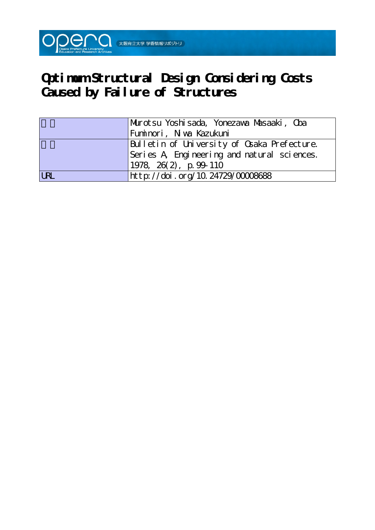

# **Optimum Structural Design Considering Costs Caused by Failure of Structures**

|            | Murotsu Yoshisada, Yonezawa Musaaki, Oba    |  |  |  |  |
|------------|---------------------------------------------|--|--|--|--|
|            | Fuminori, Niwa Kazukuni                     |  |  |  |  |
|            | Bulletin of University of Osaka Prefecture. |  |  |  |  |
|            | Series A Engineering and natural sciences.  |  |  |  |  |
|            | $1978, 26(2)$ , p. 99-110                   |  |  |  |  |
| <b>LRL</b> | http://doi.org/10.24729/00008688            |  |  |  |  |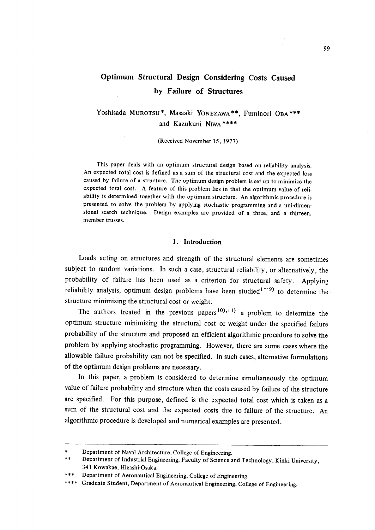# Optimum Structural Design Considering Costs Caused by Failure of Structures

Yoshisada MuRoTsu\*, Masaaki YONEzAwA\*\*, Fuminori OBA\*\*\* and Kazukuni NrwA\*\*\*\*

(Received November 15, 1977)

 This paper deals with an optimum structural design based on reliability analysis. An expected total cost is defined as a sum of the structural cost and the expected loss caused by failure of a structure. The optimum design problem is set up to minimize the expected total cost. A feature of this problem lies in that the optimum value of reliability is determined together with the optimum structure. An algorithmic procedure is presented to solve the problem by applying stochastic programming and a uni-dimensional search technique. Design examples are provided of a three, and a thirteen, member trusses.

#### 1. Introduction

 Loads acting on structures and strength of the structural elements are sometimes subject to random variations. In such a case, structural reliability, or alternatively, the probability of failure has been used as a criterion for structural safety. Applying reliability analysis, optimum design problems have been studied<sup>1 ~9</sup> to determine the structure minimizing the structural cost or weight.

The authors treated in the previous papers<sup>10</sup>),<sup>11</sup> a problem to determine the optimum structure minimizing the structural cost or weight under the specified failure probability of the structure and proposed an efficient algorithmic procedure to solve the problem by applying stochastic programming. However, there are some cases where the allowable failure probability can not be specified. In such cases, alternative formulations of the optimum design problems are necessary.

 In this paper, a problem is considered to determine simultaneously the optimum value of failure probability and structure when the costs caused by failure of the structure are specified. For this purpose, defined is the expected total cost which is taken as a sum of the structural cost and the expected costs due to failure of the structure. An algorithmic procedure is developed and numerical examples are presented.

<sup>\*</sup> Department of Naval Architecture, College of Engineering.

<sup>\*\*</sup> Department of Industrial Engineering, Faculty of Science and Technology, Kinki University, 341 Kowakae, Higashi-Osaka.

<sup>\*\*\*</sup> Department of Aeronautical Engineering, College of Engineering.

<sup>\*\*\*\*</sup> Graduate Student, Department of Aeronautical Engineering, College of Engineering.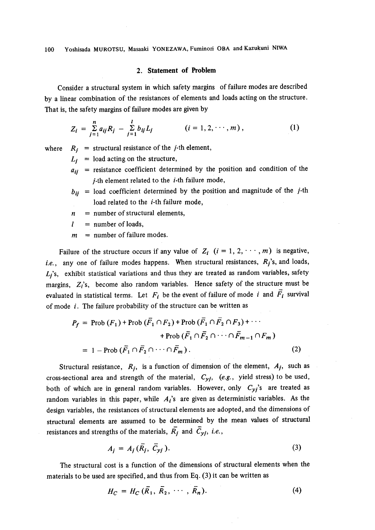## 2. Statement of Problem

 Consider a structural system in which safety margins of failure modes are described by a linear combination of the resistances of elements and loads acting on the structure. That is, the safety margins of failure modes are given by

$$
Z_i = \sum_{j=1}^n a_{ij} R_j - \sum_{j=1}^l b_{ij} L_j \qquad (i = 1, 2, \dots, m), \qquad (1)
$$

where  $R_i$  = structural resistance of the *j*-th element,

 $L_i$  = load acting on the structure,

- $a_{ii}$  = resistance coefficient determined by the position and condition of the  $j$ -th element related to the  $i$ -th failure mode,
- $b_{ii}$  = load coefficient determined by the position and magnitude of the *j*-th load related to the *i*-th failure mode,
- $n =$  number of structural elements,
- $l =$  number of loads,
- $m =$  number of failure modes.

Failure of the structure occurs if any value of  $Z_i$   $(i = 1, 2, \dots, m)$  is negative, i.e., any one of failure modes happens. When structural resistances,  $R_j$ 's, and loads,  $L_i$ 's, exhibit statistical variations and thus they are treated as random variables, safety margins,  $Z_i$ 's, become also random variables. Hence safety of the structure must be evaluated in statistical terms. Let  $F_i$  be the event of failure of mode i and  $\overline{F}_i$  survival of mode  $i$ . The failure probability of the structure can be written as

$$
P_f = \text{Prob}(F_1) + \text{Prob}(\overline{F}_1 \cap F_2) + \text{Prob}(\overline{F}_1 \cap \overline{F}_2 \cap F_3) + \cdots
$$
  
+ 
$$
+ \text{Prob}(\overline{F}_1 \cap \overline{F}_2 \cap \cdots \cap \overline{F}_{m-1} \cap F_m)
$$
  
= 1 - Prob( $\overline{F}_1 \cap \overline{F}_2 \cap \cdots \cap \overline{F}_m$ ). (2)

Structural resistance,  $R_j$ , is a function of dimension of the element,  $A_j$ , such as cross-sectional area and strength of the material,  $C_{yj}$ , (e.g., yield stress) to be used, both of which are in general random variables. However, only  $C_{y_i}$ 's are treated as random variables in this paper, while  $A_i$ 's are given as deterministic variables. As the design variables, the. resistances of structural elements are adopted, and the dimensions of structural elements are assumed to be determined by the mean values of structural resistances and strengths of the materials,  $\overline{R}_j$  and  $\overline{C}_{yj}$ , i.e.,

$$
A_j = A_j(\bar{R}_j, \bar{C}_{yj}). \tag{3}
$$

 The structural cost is a function of the dimensions of structural elements when the materials to be used are specified, and thus from Eq. (3) it can be written as

$$
H_C = H_C(\overline{R}_1, \overline{R}_2, \cdots, \overline{R}_n). \tag{4}
$$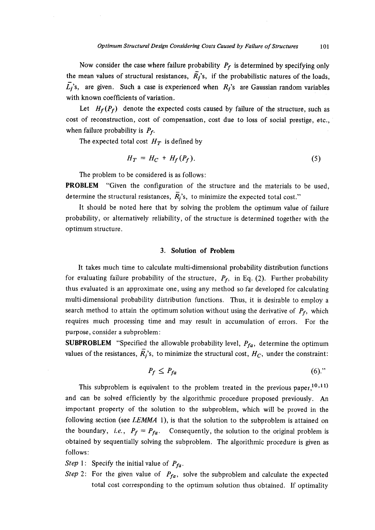Now consider the case where failure probability  $P_f$  is determined by specifying only the mean values of structural resistances,  $\overline{R}_j$ 's, if the probabilistic natures of the loads,  $\overline{L_i}$ 's, are given. Such a case is experienced when  $R_i$ 's are Gaussian random variables with known coefficients of variation.

Let  $H_f(P_f)$  denote the expected costs caused by failure of the structure, such as cost of reconstruction, cost of compensation, cost due to loss of social prestige, etc., when failure probability is  $P_f$ .

The expected total cost  $H_T$  is defined by

$$
H_T = H_C + H_f(P_f). \tag{5}
$$

The problem to be considered is as follows:

PROBLEM "Given the configuration of the structure and the materials to be used, determine the structural resistances,  $\overline{R}_i$ 's, to minimize the expected total cost."

 It should be noted here that by solving the problem the optimum value of failure probability, or alternatively reliability, of the structure is determined together with the optimum structure.

## 3. Solution of Problem

 It takes much time to calculate multi-dimensional probability distribution functions for evaluating failure probability of the structure,  $P_f$ , in Eq. (2). Further probability thus evaluated is an approximate one, using any method so far developed for calculating multi-dimensional probability distribution functions. Thus, it is desirable to employ a search method to attain the optimum solution without using the derivative of  $P_f$ , which requires much processing time and may result in accumulation of errors. For the purpose, consider a subproblem:

**SUBPROBLEM** "Specified the allowable probability level,  $P_{fa}$ , determine the optimum values of the resistances,  $\overline{R}_i$ 's, to minimize the structural cost,  $H_C$ , under the constraint:

$$
P_f \le P_{fa} \tag{6.}
$$

This subproblem is equivalent to the problem treated in the previous paper,<sup>10,11</sup>) and can be solved efficiently by the algorithmic procedure proposed previously. An important property of the solution to the subproblem, which will be proved in the following section (see LEMMA 1), is that the solution to the subproblem is attained on the boundary, *i.e.*,  $P_f = P_{fa}$ . Consequently, the solution to the original problem is obtained by sequentially solving the subproblem. The algorithmic procedure is given as follows:

Step 1: Specify the initial value of  $P_{fa}$ .

Step 2: For the given value of  $P_{fa}$ , solve the subproblem and calculate the expected total cost corresponding to the optimum solution thus obtained. If optimality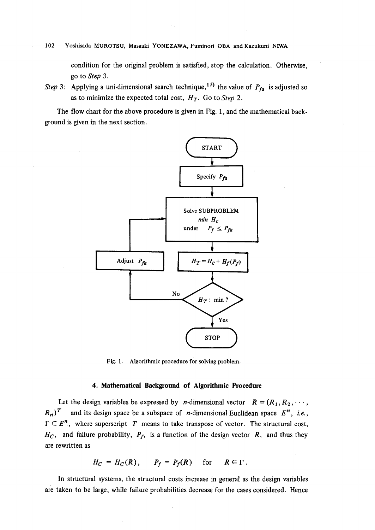#### 102 Yoshisada MUROTSU, Masaaki YONEZAWA, Fuminori OBA and Kazukuni NIWA

condition for the original problem is satisfied, stop the calculation. Otherwise, , go to Step 3.

Step 3: Applying a uni-dimensional search technique,<sup>13)</sup> the value of  $P_{fa}$  is adjusted so as to minimize the expected total cost,  $H_T$ . Go to Step 2.

The flow chart for the above procedure is given in Fig. 1, and the mathematical background is given in the next section.



Fig. 1. Algorithmic procedure for solving problem.

#### 4. Mathematical Baekground of Algorithmic Procedure

Let the design variables be expressed by *n*-dimensional vector  $R = (R_1, R_2, \dots, R_n)$  $R_n$ )<sup>T</sup> and its design space be a subspace of *n*-dimensional Euclidean space  $E^n$ , *i.e.*,  $\Gamma \subset E^n$ , where superscript T means to take transpose of vector. The structural cost,  $H_C$ , and failure probability,  $P_f$ , is a function of the design vector R, and thus they are rewrltten as

$$
H_C = H_C(R), \qquad P_f = P_f(R) \quad \text{for} \quad R \in \Gamma.
$$

 In structural systems, the structural costs increase in general as the design variables are taken to be large, while failure probabilities decrease for the cases considered. Hence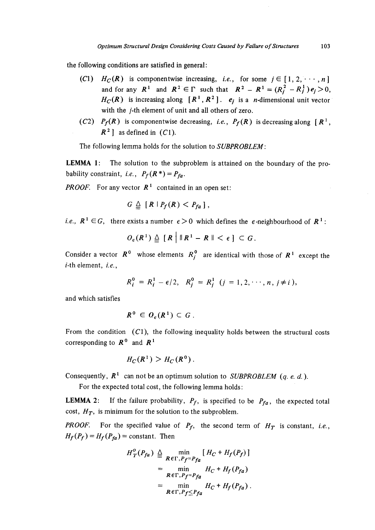the following conditions are satisfied in general:

- (C1)  $H_C(R)$  is componentwise increasing, i.e., for some  $i \in [1,2,\dots,n]$ and for any  $R^1$  and  $R^2 \in \Gamma$  such that  $R^2 - R^1 = (R_i^2 - R_i^1) e_i > 0$ ,  $H_C(R)$  is increasing along  $[R^1, R^2]$ .  $e_i$  is a *n*-dimensional unit vector with the j-th element of unit and all others of zero.
- (C2)  $P_f(R)$  is componentwise decreasing, *i.e.*,  $P_f(R)$  is decreasing along  $[R^1,$  $R<sup>2</sup>$  as defined in (C1).

The following lemma holds for the solution to SUBPROBLEM:

LEMMA 1: The solution to the subproblem is attained on the boundary of the probability constraint, *i.e.*,  $P_f(R^*) = P_{fa}$ .

**PROOF.** For any vector  $\mathbb{R}^1$  contained in an open set:

$$
G\triangleq [R\mid P_f(R)< P_{fa}],
$$

*i.e.*,  $R^1 \in G$ , there exists a number  $\epsilon > 0$  which defines the  $\epsilon$ -neighbourhood of  $R^1$ :

$$
O_{\epsilon}(R^1) \triangleq \left[ R \middle| \, \|R^1 - R\| < \epsilon \, \right] \subset G.
$$

Consider a vector  $R^0$  whose elements  $R_i^0$  are identical with those of  $R^1$  except the  $i$ -th element,  $i.e.,$ 

$$
R_i^0 = R_i^1 - \epsilon/2, \quad R_j^0 = R_j^1 \quad (j = 1, 2, \cdots, n, j \neq i),
$$

and which satisfies

$$
R^0 \in O_{\epsilon}(R^1) \subset G
$$

From the condition  $(C1)$ , the following inequality holds between the structural costs corresponding to  $R^0$  and  $R^1$ 

$$
H_C(R^1) > H_C(R^0).
$$

Consequently,  $R^1$  can not be an optimum solution to *SUBPROBLEM* (*q. e. d.*).

For the expected total cost, the following lemma holds :

**LEMMA 2:** If the failure probability,  $P_f$ , is specified to be  $P_{fa}$ , the expected total cost,  $H_T$ , is minimum for the solution to the subproblem.

**PROOF.** For the specified value of  $P_f$ , the second term of  $H_T$  is constant, i.e.,  $H_f(P_f) = H_f(P_{fa}) = \text{constant}$ . Then

$$
H_T^o(P_{fa}) \triangleq \min_{\mathbf{R} \in \Gamma, P_f = P_{fa}} [H_C + H_f(P_f)]
$$
  
= 
$$
\min_{\mathbf{R} \in \Gamma, P_f = P_{fa}} H_C + H_f(P_{fa})
$$
  
= 
$$
\min_{\mathbf{R} \in \Gamma, P_f \leq P_{fa}} H_C + H_f(P_{fa}).
$$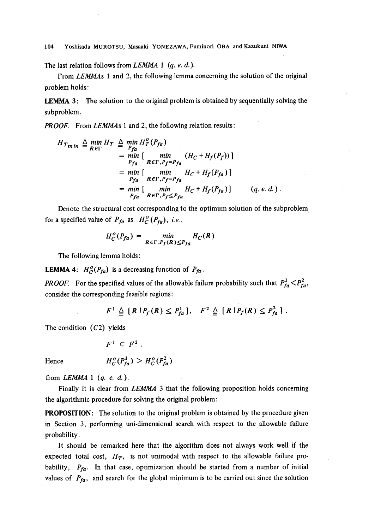104 Yoshisada MUROTSU, Masaaki YONEZAWA, Fuminori OBA and Kazukuni NIWA

The last relation follows from  $LEMMA$  1 (q. e. d.).

 From LEMMAs 1 and 2, the following lemma concerning the solution of the original problem holds:

LEMMA 3: The solution to the original problem is obtained by sequentially solving the subproblem.

**PROOF.** From LEMMAs 1 and 2, the following relation results:

$$
H_{Tmin} \triangleq \min_{R \in \Gamma} H_T \triangleq \min_{P_{fa}} H_T^o(P_{fa})
$$
  
=  $\min_{P_{fa}} [\min_{R \in \Gamma, P_f = P_{fa}} (H_C + H_f(P_f))]$   
=  $\min_{P_{fa}} [\min_{R \in \Gamma, P_f = P_{fa}} H_C + H_f(P_{fa})]$   
=  $\min_{P_{fa}} [\min_{R \in \Gamma, P_f \le P_{fa}} H_C + H_f(P_{fa})]$  (q. e. d.).

 Denote the structural cost corresponding to the optimum solution of the subproblem for a specified value of  $P_{fa}$  as  $H_C^o(P_{fa})$ , i.e.,

$$
H_C^o(P_{fa}) = \min_{R \in \Gamma, P_f(R) \leq P_{fa}} H_C(R)
$$

The following lemma holds:

**LEMMA 4:**  $H_C^o(P_{fa})$  is a decreasing function of  $P_{fa}$ .

**PROOF.** For the specified values of the allowable failure probability such that  $P_{fa}^1 < P_{fa}^2$ , consider the corresponding feasible regions:

$$
F^1 \triangleq [R | P_f(R) \leq P_{fa}^1], \quad F^2 \triangleq [R | P_f(R) \leq P_{fa}^2].
$$

The condition  $(C2)$  yields

$$
F^1 \subset F^2.
$$

Hence 
$$
H_C^o(P_{fa}^1) > H_C^o(P_{fa}^2)
$$

from  $LEMMA$  1 (q. e. d.).

Finally it is clear from LEMMA 3 that the following proposition holds concerning the algorithmic procedure for solving the original problem:

PROPOSITION: The solution to the original problem is obtained by the procedure given in Section 3, performing uni-dimensional search with respect to the allowable failure probability.

 It should be remarked here that the algorithm does not always work well if the expected total cost,  $H_T$ , is not unimodal with respect to the allowable failure probability,  $P_{fa}$ . In that case, optimization should be started from a number of initial values of  $P_{fa}$ , and search for the global minimum is to be carried out since the solution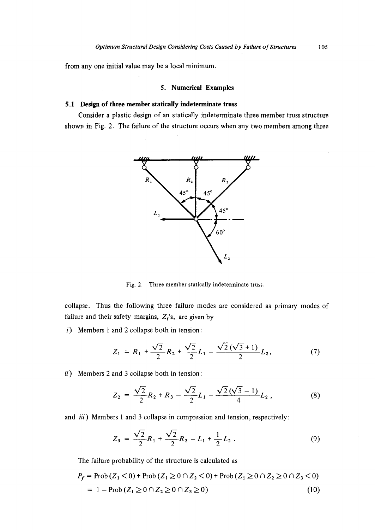from any one initial value.may be a local minimum.

# , 5. Numerical Examples

# 5.1 Design of three member statically indeterminate truss

 Consider a plastic design of an statically indeterminate three member truss structure shown in Fig. 2. The failure of the structure occurs when any two members among three



Fig. 2. Three member statically indeterminate truss

collapse. Thus the following three failure modes are considered as primary modes of failure and their safety margins,  $Z_i$ 's, are given by

 $i)$  Members 1 and 2 collapse both in tension:

$$
Z_1 = R_1 + \frac{\sqrt{2}}{2} R_2 + \frac{\sqrt{2}}{2} L_1 - \frac{\sqrt{2}(\sqrt{3} + 1)}{2} L_2, \tag{7}
$$

 $ii)$  Members 2 and 3 collapse both in tension:

$$
Z_2 = \frac{\sqrt{2}}{2}R_2 + R_3 - \frac{\sqrt{2}}{2}L_1 - \frac{\sqrt{2}(\sqrt{3}-1)}{4}L_2, \qquad (8)
$$

and *iii*) Members 1 and 3 collapse in compression and tension, respectively:

$$
Z_3 = \frac{\sqrt{2}}{2}R_1 + \frac{\sqrt{2}}{2}R_3 - L_1 + \frac{1}{2}L_2.
$$
 (9)

The failure probability of the structure is calculated as

$$
P_f = \text{Prob}(Z_1 < 0) + \text{Prob}(Z_1 \ge 0 \cap Z_2 < 0) + \text{Prob}(Z_1 \ge 0 \cap Z_2 \ge 0 \cap Z_3 < 0)
$$
\n
$$
= 1 - \text{Prob}(Z_1 \ge 0 \cap Z_2 \ge 0 \cap Z_3 \ge 0) \tag{10}
$$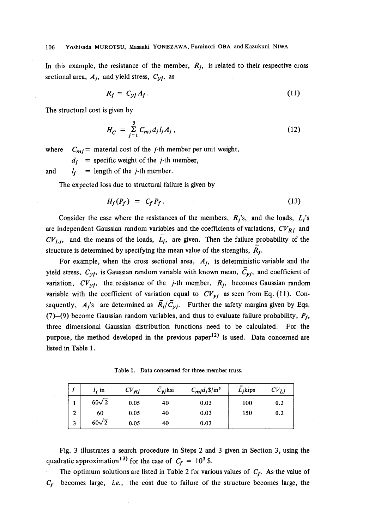# 106 Yoshisada MUROTSU, Masaaki YONEZAWA, Fuminori OBA and Kazukuni NIWA

In this example, the resistance of the member,  $R_i$ , is related to their respective cross sectional area,  $A_i$ , and yield stress,  $C_{yi}$ , as

$$
R_j = C_{yj} A_j \,. \tag{11}
$$

The structural cost is given by

$$
H_C = \sum_{j=1}^{3} C_{mj} d_j l_j A_j , \qquad (12)
$$

where  $C_{mj}$  = material cost of the *j*-th member per unit weight,

 $d_i$  = specific weight of the *j*-th member,

and  $l_i$  = length of the *j*-th member.

The expected loss due to structural failure is given by

$$
H_f(P_f) = C_f P_f. \tag{13}
$$

Consider the case where the resistances of the members,  $R_j$ 's, and the loads,  $L_j$ 's are independent Gaussian random variables and the coefficients of variations,  $CV_{Rj}$  and  $CV_{L,i}$ , and the means of the loads,  $L_i$ , are given. Then the failure probability of the structure is determined by specifying the mean value of the strengths,  $R_i$ .

For example, when the cross sectional area,  $A_i$ , is deterministic variable and the yield stress,  $C_{yj}$ , is Gaussian random variable with known mean,  $\overline{C}_{yj}$ , and coefficient of variation,  $CV_{vi}$ , the resistance of the *j*-th member,  $R_i$ , becomes Gaussian random variable with the coefficient of variation equal to  $CV_{yi}$  as seen from Eq. (11). Consequently,  $A_i$ 's are determined as  $\overline{R}_i/\overline{C}_{V_i}$ . Further the safety margins given by Eqs. (7)-(9) become Gaussian random variables, and thus to evaluate failure probability,  $P_f$ , three dimensional Gaussian distribution functions need to be calculated. For the purpose, the method developed in the previous paper<sup>12)</sup> is used. Data concerned are listed in Table 1 .

Table 1. Data concerned for three member truss.

|              | $l$ , in     | $CV_{Rj}$ | $C_{\nu i}$ ksi | $C_{\text{mj}}d_j\$ in <sup>3</sup> | $Li$ kips | $CV_{Li}$ |
|--------------|--------------|-----------|-----------------|-------------------------------------|-----------|-----------|
|              | $60\sqrt{2}$ | 0.05      | 40              | 0.03                                | 100       | 0.2       |
| $\mathbf{2}$ | 60           | 0.05      | 40              | 0.03                                | 150       | 0.2       |
| 3            | $60\sqrt{2}$ | 0.05      | 40              | 0.03                                |           |           |

 Fig. 3 illustrates a search procedure in Steps 2 and 3 given in Section 3, using the quadratic approximation<sup>13)</sup> for the case of  $C_f = 10^3$  \$.

The optimum solutions are listed in Table 2 for various values of  $C_f$ . As the value of  $C_f$  becomes large, i.e., the cost due to failure of the structure becomes large, the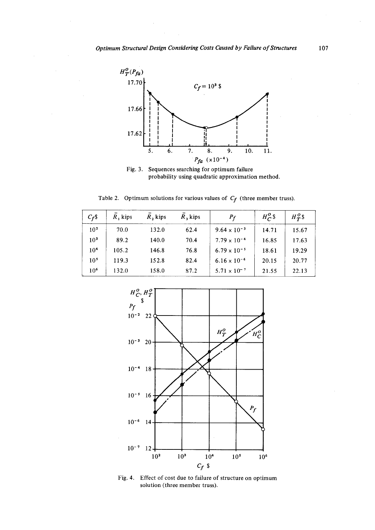

Fig. 3. Sequences searching for optimum failure probability using quadratic approximation method.

Table 2. Optimum solutions for various values of  $C_f$  (three member truss).

| $C_f$ \$        | $R$ , kips | $R$ , kips | $R_3$ kips | $\boldsymbol{P}_f$    | $H^0_{C}$ | $H^0_{\tau}$ \$ |
|-----------------|------------|------------|------------|-----------------------|-----------|-----------------|
| 10 <sup>2</sup> | 70.0       | 132.0      | 62.4       | $9.64 \times 10^{-3}$ | 14.71     | 15.67           |
| 10 <sup>3</sup> | 89.2       | 140.0      | 70.4       | $7.79 \times 10^{-4}$ | 16.85     | 17.63           |
| 10 <sup>4</sup> | 105.2      | 146.8      | 76.8       | $6.79 \times 10^{-5}$ | 18.61     | 19.29           |
| 10 <sup>5</sup> | 119.3      | 152.8      | 82.4       | $6.16 \times 10^{-6}$ | 20.15     | 20.77           |
| 10 <sup>6</sup> | 132.0      | 158.0      | 87.2       | $5.71 \times 10^{-7}$ | 21.55     | 22.13           |



Fig. 4. Effect of cost due to failure of structure on optimum solution (three member truss).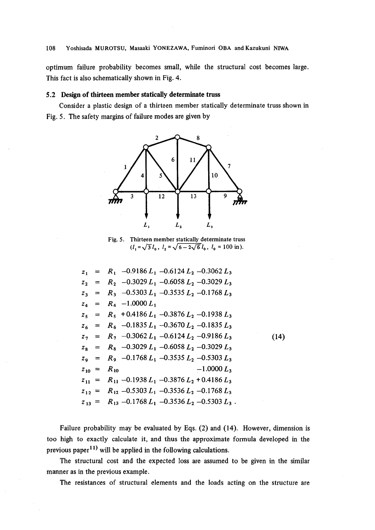optimum failure probability becomes small, while the structural cost becomes large. This fact is also schematically shown in Fig. 4.

# 5.2 Design of thirteen member statically determinate truss

 Consider a plastic design of a thirteen member statically determinate truss shown in Fig. 5. The safety margins of failure modes are given by



Fig. 5. Thirteen member statically determinate truss  $(l_1 = \sqrt{3}l_0, l_2 = \sqrt{6-2\sqrt{6}}l_0, l_0 = 100 \text{ in}.$ 

|  | $z_1$ = $R_1$ -0.9186 $L_1$ -0.6124 $L_2$ -0.3062 $L_3$                            |     |
|--|------------------------------------------------------------------------------------|-----|
|  | $z_2$ = $R_2$ -0.3029 L <sub>1</sub> -0.6058 L <sub>2</sub> -0.3029 L <sub>3</sub> |     |
|  | $z_3 = R_3 -0.5303 L_1 -0.3535 L_2 -0.1768 L_3$                                    |     |
|  | $z_4 = R_4 -1.0000 L_1$                                                            |     |
|  | $z_5$ = $R_5$ + 0.4186 $L_1$ -0.3876 $L_2$ -0.1938 $L_3$                           |     |
|  | $z_6$ = $R_6$ -0.1835 $L_1$ -0.3670 $L_2$ -0.1835 $L_3$                            |     |
|  | $z_7 = R_7 -0.3062 L_1 -0.6124 L_2 -0.9186 L_3$                                    | (14 |
|  | $z_8$ = $R_8$ -0.3029 L <sub>1</sub> -0.6058 L <sub>2</sub> -0.3029 L <sub>3</sub> |     |
|  | $z_9 = R_9 -0.1768 L_1 -0.3535 L_2 -0.5303 L_3$                                    |     |
|  | $-1.0000 L_3$<br>$Z_{10} = R_{10}$                                                 |     |
|  | $z_{11} = R_{11} - 0.1938 L_1 - 0.3876 L_2 + 0.4186 L_3$                           |     |
|  | $z_{12} = R_{12} - 0.5303 L_1 - 0.3536 L_2 - 0.1768 L_3$                           |     |
|  | $z_{13} = R_{13} - 0.1768 L_1 - 0.3536 L_2 - 0.5303 L_3$ .                         |     |

 Failure probability may be evaluated by Eqs. (2) and (14). However, dimension is too high to exactly calculate it, and thus the approximate formula developed in the previous paper<sup>11)</sup> will be applied in the following calculations.

 The structural cost and the expected loss are assumed to be given in the similar manner as in the previous example.

The resistances of structural elements and the loads acting on the structure are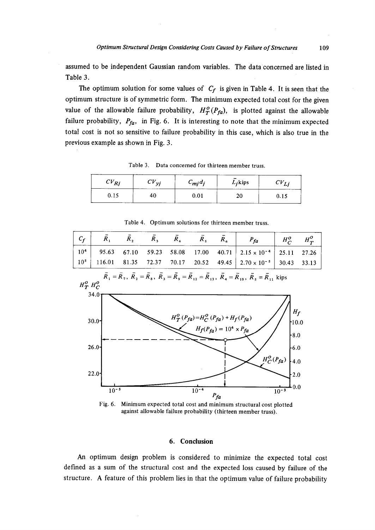assumed to be independent Gaussian random variables. The data concerned are listed in Table 3.

The optimum solution for some values of  $C_f$  is given in Table 4. It is seen that the optimum structure is of symmetric form. The minimum expected total cost for the given value of the allowable failure probability,  $H_T^o(P_{fa})$ , is plotted against the allowable failure probability,  $P_{fa}$ , in Fig. 6. It is interesting to note that the minimum expected total cost is not so sensitive to failure probability in this case, which is also true in the previous example as shown in Fig. 3.

| D,<br>ັ່<br>n | <b>The Committee Committee</b><br>บร้<br>◡<br>╯<br>_______ | $c_{m j} d_j$<br>--------- | -------<br>--<br>$L_i$ kips<br><b>CONTRACTOR CONTRACTOR</b> | ◡<br>., |
|---------------|------------------------------------------------------------|----------------------------|-------------------------------------------------------------|---------|
| ∪.⊥ J         | 4U<br>$-11 - 11 - 11$                                      | ----                       | ۷U                                                          | V. LJ   |

Table 3. Data concerned for thirteen member truss.



Table 4. Optimum solutions for thirteen member truss.

Fig. 6. Minimum expected total cost and minimum structural cost plotted against allowable failure probability (thirteen member truss).

# 6. Conclusion

An optimum design problem is considered to minimize the expected total cost defined as a sum of the structural cost and the expected loss caused by failure of the structure. A feature of this problem lies in that the optimum value of failure probability